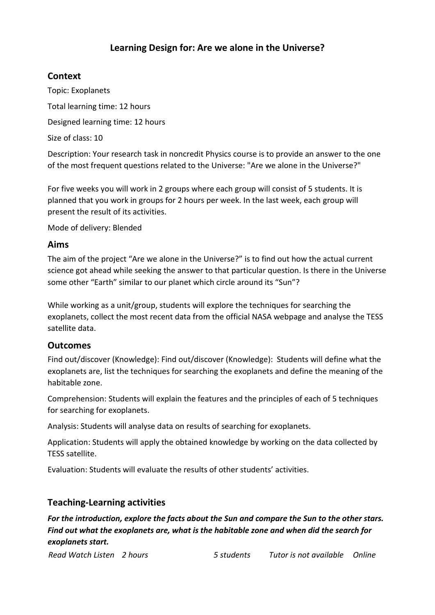# **Learning Design for: Are we alone in the Universe?**

# **Context**

Topic: Exoplanets Total learning time: 12 hours Designed learning time: 12 hours

Size of class: 10

Description: Your research task in noncredit Physics course is to provide an answer to the one of the most frequent questions related to the Universe: "Are we alone in the Universe?"

For five weeks you will work in 2 groups where each group will consist of 5 students. It is planned that you work in groups for 2 hours per week. In the last week, each group will present the result of its activities.

Mode of delivery: Blended

# **Aims**

The aim of the project "Are we alone in the Universe?" is to find out how the actual current science got ahead while seeking the answer to that particular question. Is there in the Universe some other "Earth" similar to our planet which circle around its "Sun"?

While working as a unit/group, students will explore the techniques for searching the exoplanets, collect the most recent data from the official NASA webpage and analyse the TESS satellite data.

# **Outcomes**

Find out/discover (Knowledge): Find out/discover (Knowledge): Students will define what the exoplanets are, list the techniques for searching the exoplanets and define the meaning of the habitable zone.

Comprehension: Students will explain the features and the principles of each of 5 techniques for searching for exoplanets.

Analysis: Students will analyse data on results of searching for exoplanets.

Application: Students will apply the obtained knowledge by working on the data collected by TESS satellite.

Evaluation: Students will evaluate the results of other students' activities.

# **Teaching-Learning activities**

*For the introduction, explore the facts about the Sun and compare the Sun to the other stars. Find out what the exoplanets are, what is the habitable zone and when did the search for exoplanets start.*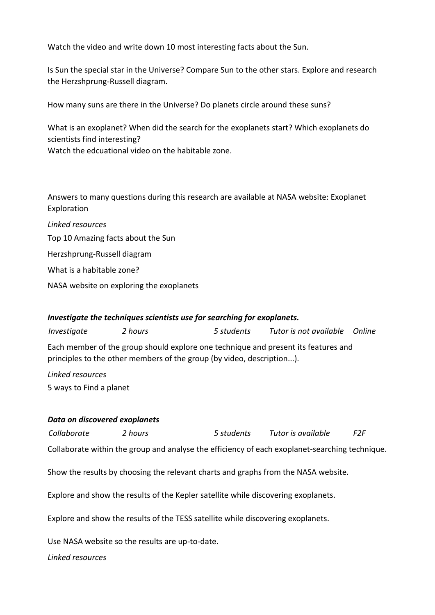Watch the video and write down 10 most interesting facts about the Sun.

Is Sun the special star in the Universe? Compare Sun to the other stars. Explore and research the Herzshprung-Russell diagram.

How many suns are there in the Universe? Do planets circle around these suns?

What is an exoplanet? When did the search for the exoplanets start? Which exoplanets do scientists find interesting?

Watch the edcuational video on the habitable zone.

Answers to many questions during this research are available at NASA website: Exoplanet Exploration

*Linked resources* [Top 10 Amazing facts about the Sun](https://www.youtube.com/watch?v=0WW1HN0iG0M) [Herzshprung-Russell diagram](https://upload.wikimedia.org/wikipedia/commons/1/17/Hertzsprung-Russel_StarData.png) [What is a habitable zone?](https://exoplanets.nasa.gov/resources/1062/qalien-whats-a-habitable-zone/)

[NASA website on exploring the exoplanets](https://exoplanets.nasa.gov/)

### *Investigate the techniques scientists use for searching for exoplanets.*

*Investigate 2 hours 5 students Tutor is not available Online*

Each member of the group should explore one technique and present its features and principles to the other members of the group (by video, description...).

*Linked resources* [5 ways to Find a planet](https://exoplanets.nasa.gov/alien-worlds/ways-to-find-a-planet/)

### *Data on discovered exoplanets*

*Collaborate 2 hours 5 students Tutor is available F2F*

Collaborate within the group and analyse the efficiency of each exoplanet-searching technique.

Show the results by choosing the relevant charts and graphs from the NASA website.

Explore and show the results of the Kepler satellite while discovering exoplanets.

Explore and show the results of the TESS satellite while discovering exoplanets.

Use NASA website so the results are up-to-date.

*Linked resources*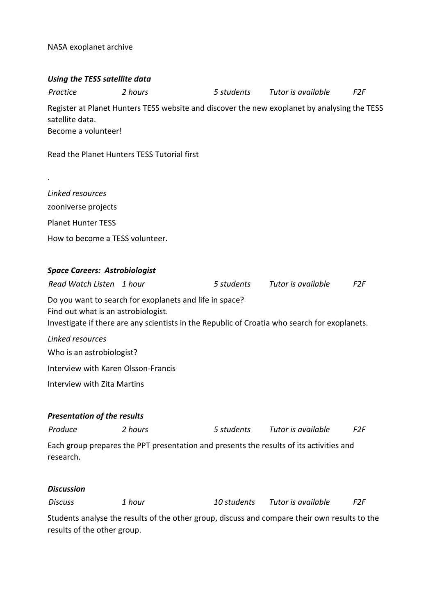[NASA exoplanet archive](https://exoplanetarchive.ipac.caltech.edu/index.html)

| Using the TESS satellite data                                                                                                                                                                   |                                                                                                                     |            |                    |                 |  |  |
|-------------------------------------------------------------------------------------------------------------------------------------------------------------------------------------------------|---------------------------------------------------------------------------------------------------------------------|------------|--------------------|-----------------|--|--|
| Practice                                                                                                                                                                                        | 2 hours                                                                                                             | 5 students | Tutor is available | F2F             |  |  |
| satellite data.                                                                                                                                                                                 | Register at Planet Hunters TESS website and discover the new exoplanet by analysing the TESS<br>Become a volunteer! |            |                    |                 |  |  |
|                                                                                                                                                                                                 | Read the Planet Hunters TESS Tutorial first                                                                         |            |                    |                 |  |  |
|                                                                                                                                                                                                 |                                                                                                                     |            |                    |                 |  |  |
| Linked resources                                                                                                                                                                                |                                                                                                                     |            |                    |                 |  |  |
| zooniverse projects                                                                                                                                                                             |                                                                                                                     |            |                    |                 |  |  |
| <b>Planet Hunter TESS</b>                                                                                                                                                                       |                                                                                                                     |            |                    |                 |  |  |
| How to become a TESS volunteer.                                                                                                                                                                 |                                                                                                                     |            |                    |                 |  |  |
|                                                                                                                                                                                                 |                                                                                                                     |            |                    |                 |  |  |
| <b>Space Careers: Astrobiologist</b>                                                                                                                                                            |                                                                                                                     |            |                    |                 |  |  |
| Read Watch Listen 1 hour                                                                                                                                                                        |                                                                                                                     | 5 students | Tutor is available | F <sub>2F</sub> |  |  |
| Do you want to search for exoplanets and life in space?<br>Find out what is an astrobiologist.<br>Investigate if there are any scientists in the Republic of Croatia who search for exoplanets. |                                                                                                                     |            |                    |                 |  |  |
| Linked resources                                                                                                                                                                                |                                                                                                                     |            |                    |                 |  |  |
| Who is an astrobiologist?                                                                                                                                                                       |                                                                                                                     |            |                    |                 |  |  |
| Interview with Karen Olsson-Francis                                                                                                                                                             |                                                                                                                     |            |                    |                 |  |  |
| Interview with Zita Martins                                                                                                                                                                     |                                                                                                                     |            |                    |                 |  |  |
|                                                                                                                                                                                                 |                                                                                                                     |            |                    |                 |  |  |
| <b>Presentation of the results</b>                                                                                                                                                              |                                                                                                                     |            |                    |                 |  |  |
| Produce                                                                                                                                                                                         | 2 hours                                                                                                             | 5 students | Tutor is available | F <sub>2F</sub> |  |  |
| research.                                                                                                                                                                                       | Each group prepares the PPT presentation and presents the results of its activities and                             |            |                    |                 |  |  |
|                                                                                                                                                                                                 |                                                                                                                     |            |                    |                 |  |  |

### *Discussion*

| <b>Discuss</b>                                                                                | 1 hour | 10 students | Tutor is available | F2F |  |  |
|-----------------------------------------------------------------------------------------------|--------|-------------|--------------------|-----|--|--|
| Students analyse the results of the other group, discuss and compare their own results to the |        |             |                    |     |  |  |
| results of the other group.                                                                   |        |             |                    |     |  |  |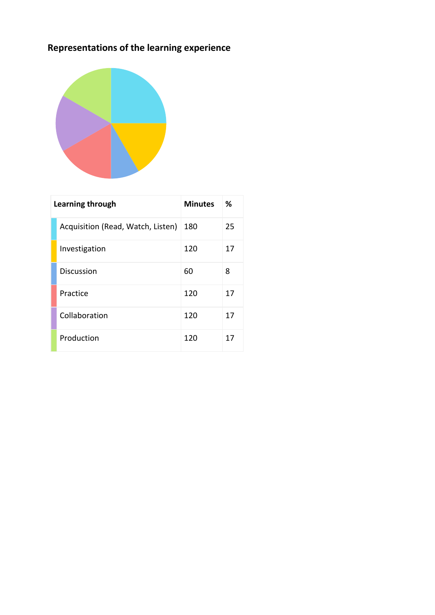# **Representations of the learning experience**



| Learning through |                                   | <b>Minutes</b> | ℅  |
|------------------|-----------------------------------|----------------|----|
|                  | Acquisition (Read, Watch, Listen) | 180            | 25 |
|                  | Investigation                     | 120            | 17 |
|                  | <b>Discussion</b>                 | 60             | 8  |
|                  | Practice                          | 120            | 17 |
|                  | Collaboration                     | 120            | 17 |
|                  | Production                        | 120            | 17 |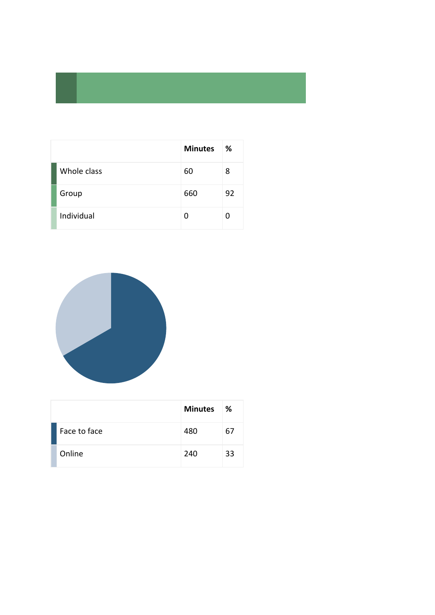|             | <b>Minutes</b> | %  |
|-------------|----------------|----|
| Whole class | 60             | 8  |
| Group       | 660            | 92 |
| Individual  |                |    |



|              | <b>Minutes</b> | ℅  |
|--------------|----------------|----|
| Face to face | 480            | 67 |
| Online       | 240            | 33 |